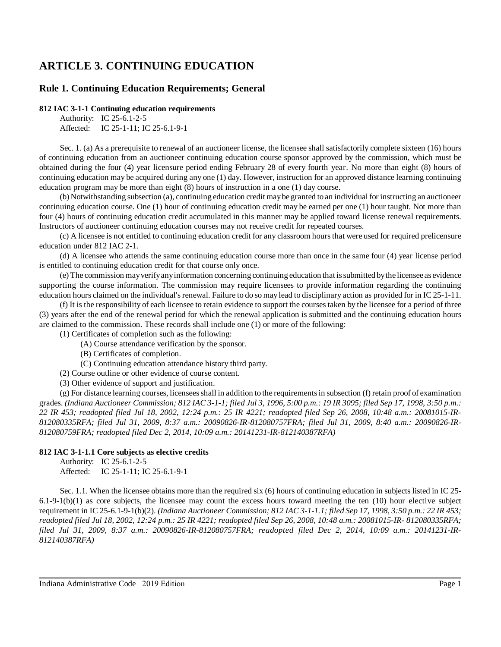# **ARTICLE 3. CONTINUING EDUCATION**

## **Rule 1. Continuing Education Requirements; General**

## **812 IAC 3-1-1 Continuing education requirements**

Authority: IC 25-6.1-2-5 Affected: IC 25-1-11; IC 25-6.1-9-1

Sec. 1. (a) As a prerequisite to renewal of an auctioneer license, the licensee shall satisfactorily complete sixteen (16) hours of continuing education from an auctioneer continuing education course sponsor approved by the commission, which must be obtained during the four (4) year licensure period ending February 28 of every fourth year. No more than eight (8) hours of continuing education may be acquired during any one (1) day. However, instruction for an approved distance learning continuing education program may be more than eight (8) hours of instruction in a one (1) day course.

(b) Notwithstanding subsection (a), continuing education credit maybe granted to an individual for instructing an auctioneer continuing education course. One (1) hour of continuing education credit may be earned per one (1) hour taught. Not more than four (4) hours of continuing education credit accumulated in this manner may be applied toward license renewal requirements. Instructors of auctioneer continuing education courses may not receive credit for repeated courses.

(c) A licensee is not entitled to continuing education credit for any classroom hoursthat were used for required prelicensure education under 812 IAC 2-1.

(d) A licensee who attends the same continuing education course more than once in the same four (4) year license period is entitled to continuing education credit for that course only once.

(e) The commission mayverifyanyinformation concerning continuing education that issubmitted bythe licensee as evidence supporting the course information. The commission may require licensees to provide information regarding the continuing education hours claimed on the individual'srenewal. Failure to do so may lead to disciplinary action as provided for in IC 25-1-11.

(f) It is the responsibility of each licensee to retain evidence to support the courses taken by the licensee for a period of three (3) years after the end of the renewal period for which the renewal application is submitted and the continuing education hours are claimed to the commission. These records shall include one (1) or more of the following:

(1) Certificates of completion such as the following:

- (A) Course attendance verification by the sponsor.
- (B) Certificates of completion.
- (C) Continuing education attendance history third party.

(2) Course outline or other evidence of course content.

(3) Other evidence of support and justification.

(g) For distance learning courses, licenseesshall in addition to the requirementsin subsection (f) retain proof of examination grades. (Indiana Auctioneer Commission; 812 IAC 3-1-1; filed Jul 3, 1996, 5:00 p.m.: 19 IR 3095; filed Sep 17, 1998, 3:50 p.m.: *22 IR 453; readopted filed Jul 18, 2002, 12:24 p.m.: 25 IR 4221; readopted filed Sep 26, 2008, 10:48 a.m.: 20081015-IR-812080335RFA; filed Jul 31, 2009, 8:37 a.m.: 20090826-IR-812080757FRA; filed Jul 31, 2009, 8:40 a.m.: 20090826-IR-812080759FRA; readopted filed Dec 2, 2014, 10:09 a.m.: 20141231-IR-812140387RFA)*

## **812 IAC 3-1-1.1 Core subjects as elective credits**

Authority: IC 25-6.1-2-5 Affected: IC 25-1-11; IC 25-6.1-9-1

Sec. 1.1. When the licensee obtains more than the required six (6) hours of continuing education in subjects listed in IC 25-  $6.1-9-1(b)(1)$  as core subjects, the licensee may count the excess hours toward meeting the ten  $(10)$  hour elective subject requirement in IC 25-6.1-9-1(b)(2). (Indiana Auctioneer Commission; 812 IAC 3-1-1.1; filed Sep 17, 1998, 3:50 p.m.: 22 IR 453; readopted filed Jul 18, 2002, 12:24 p.m.: 25 IR 4221; readopted filed Sep 26, 2008, 10:48 a.m.: 20081015-IR- 812080335RFA; *filed Jul 31, 2009, 8:37 a.m.: 20090826-IR-812080757FRA; readopted filed Dec 2, 2014, 10:09 a.m.: 20141231-IR-812140387RFA)*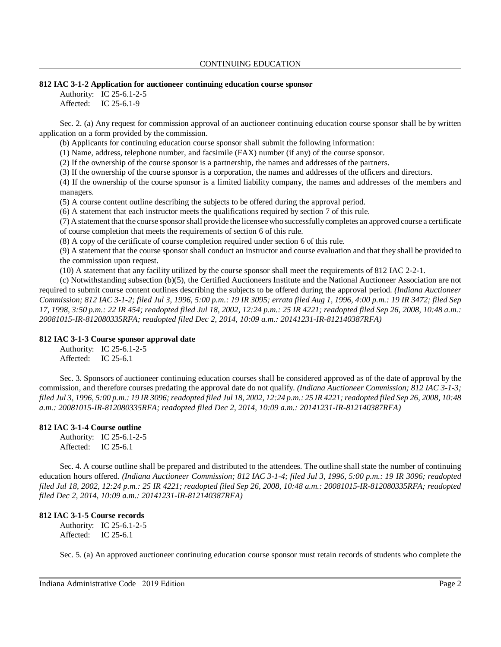#### **812 IAC 3-1-2 Application for auctioneer continuing education course sponsor**

Authority: IC 25-6.1-2-5 Affected: IC 25-6.1-9

Sec. 2. (a) Any request for commission approval of an auctioneer continuing education course sponsor shall be by written application on a form provided by the commission.

(b) Applicants for continuing education course sponsor shall submit the following information:

(1) Name, address, telephone number, and facsimile (FAX) number (if any) of the course sponsor.

(2) If the ownership of the course sponsor is a partnership, the names and addresses of the partners.

(3) If the ownership of the course sponsor is a corporation, the names and addresses of the officers and directors.

(4) If the ownership of the course sponsor is a limited liability company, the names and addresses of the members and managers.

(5) A course content outline describing the subjects to be offered during the approval period.

(6) A statement that each instructor meets the qualifications required by section 7 of this rule.

(7) A statement that the course sponsorshall provide the licensee who successfullycompletes an approved course a certificate of course completion that meets the requirements of section 6 of this rule.

(8) A copy of the certificate of course completion required under section 6 of this rule.

(9) A statement that the course sponsor shall conduct an instructor and course evaluation and that they shall be provided to the commission upon request.

(10) A statement that any facility utilized by the course sponsor shall meet the requirements of 812 IAC 2-2-1.

(c) Notwithstanding subsection (b)(5), the Certified Auctioneers Institute and the National Auctioneer Association are not required to submit course content outlines describing the subjects to be offered during the approval period. *(Indiana Auctioneer* Commission; 812 IAC 3-1-2; filed Jul 3, 1996, 5:00 p.m.: 19 IR 3095; errata filed Aug 1, 1996, 4:00 p.m.: 19 IR 3472; filed Sep 17, 1998, 3:50 p.m.: 22 IR 454; readopted filed Jul 18, 2002, 12:24 p.m.: 25 IR 4221; readopted filed Sep 26, 2008, 10:48 a.m.: *20081015-IR-812080335RFA; readopted filed Dec 2, 2014, 10:09 a.m.: 20141231-IR-812140387RFA)*

## **812 IAC 3-1-3 Course sponsor approval date**

Authority: IC 25-6.1-2-5 Affected: IC 25-6.1

Sec. 3. Sponsors of auctioneer continuing education courses shall be considered approved as of the date of approval by the commission, and therefore courses predating the approval date do not qualify. *(Indiana Auctioneer Commission; 812 IAC 3-1-3;* filed Jul 3, 1996, 5:00 p.m.: 19 IR 3096; readopted filed Jul 18, 2002, 12:24 p.m.: 25 IR 4221; readopted filed Sep 26, 2008, 10:48 *a.m.: 20081015-IR-812080335RFA; readopted filed Dec 2, 2014, 10:09 a.m.: 20141231-IR-812140387RFA)*

## **812 IAC 3-1-4 Course outline**

Authority: IC 25-6.1-2-5 Affected: IC 25-6.1

Sec. 4. A course outline shall be prepared and distributed to the attendees. The outline shall state the number of continuing education hours offered. *(Indiana Auctioneer Commission; 812 IAC 3-1-4; filed Jul 3, 1996, 5:00 p.m.: 19 IR 3096; readopted filed Jul 18, 2002, 12:24 p.m.: 25 IR 4221; readopted filed Sep 26, 2008, 10:48 a.m.: 20081015-IR-812080335RFA; readopted filed Dec 2, 2014, 10:09 a.m.: 20141231-IR-812140387RFA)*

## **812 IAC 3-1-5 Course records**

Authority: IC 25-6.1-2-5 Affected: IC 25-6.1

Sec. 5. (a) An approved auctioneer continuing education course sponsor must retain records of students who complete the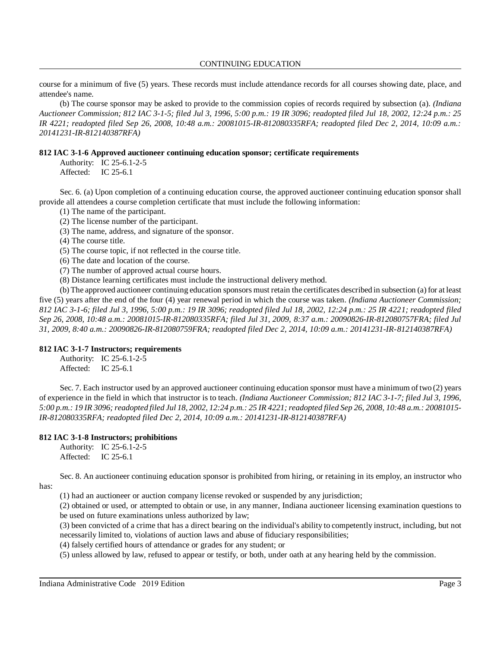#### CONTINUING EDUCATION

course for a minimum of five (5) years. These records must include attendance records for all courses showing date, place, and attendee's name.

(b) The course sponsor may be asked to provide to the commission copies of records required by subsection (a). *(Indiana Auctioneer Commission; 812 IAC 3-1-5; filed Jul 3, 1996, 5:00 p.m.: 19 IR 3096; readopted filed Jul 18, 2002, 12:24 p.m.: 25 IR 4221; readopted filed Sep 26, 2008, 10:48 a.m.: 20081015-IR-812080335RFA; readopted filed Dec 2, 2014, 10:09 a.m.: 20141231-IR-812140387RFA)*

#### **812 IAC 3-1-6 Approved auctioneer continuing education sponsor; certificate requirements**

Authority: IC 25-6.1-2-5 Affected: IC 25-6.1

Sec. 6. (a) Upon completion of a continuing education course, the approved auctioneer continuing education sponsor shall provide all attendees a course completion certificate that must include the following information:

(1) The name of the participant.

(2) The license number of the participant.

(3) The name, address, and signature of the sponsor.

(4) The course title.

(5) The course topic, if not reflected in the course title.

(6) The date and location of the course.

(7) The number of approved actual course hours.

(8) Distance learning certificates must include the instructional delivery method.

(b) The approved auctioneer continuing education sponsors must retain the certificates described in subsection (a) for at least five (5) years after the end of the four (4) year renewal period in which the course was taken. *(Indiana Auctioneer Commission; 812 IAC 3-1-6; filed Jul 3, 1996, 5:00 p.m.: 19 IR 3096; readopted filed Jul 18, 2002, 12:24 p.m.: 25 IR 4221; readopted filed Sep 26, 2008, 10:48 a.m.: 20081015-IR-812080335RFA; filed Jul 31, 2009, 8:37 a.m.: 20090826-IR-812080757FRA; filed Jul 31, 2009, 8:40 a.m.: 20090826-IR-812080759FRA; readopted filed Dec 2, 2014, 10:09 a.m.: 20141231-IR-812140387RFA)*

#### **812 IAC 3-1-7 Instructors; requirements**

Authority: IC 25-6.1-2-5 Affected: IC 25-6.1

Sec. 7. Each instructor used by an approved auctioneer continuing education sponsor must have a minimum of two (2) years of experience in the field in which that instructor is to teach. *(Indiana Auctioneer Commission; 812 IAC 3-1-7; filed Jul 3, 1996,* 5:00 p.m.: 19 IR 3096; readopted filed Jul 18, 2002, 12:24 p.m.: 25 IR 4221; readopted filed Sep 26, 2008, 10:48 a.m.: 20081015-*IR-812080335RFA; readopted filed Dec 2, 2014, 10:09 a.m.: 20141231-IR-812140387RFA)*

## **812 IAC 3-1-8 Instructors; prohibitions**

Authority: IC 25-6.1-2-5 Affected: IC 25-6.1

Sec. 8. An auctioneer continuing education sponsor is prohibited from hiring, or retaining in its employ, an instructor who has:

(1) had an auctioneer or auction company license revoked or suspended by any jurisdiction;

(2) obtained or used, or attempted to obtain or use, in any manner, Indiana auctioneer licensing examination questions to be used on future examinations unless authorized by law;

(3) been convicted of a crime that has a direct bearing on the individual's ability to competently instruct, including, but not necessarily limited to, violations of auction laws and abuse of fiduciary responsibilities;

(4) falsely certified hours of attendance or grades for any student; or

(5) unless allowed by law, refused to appear or testify, or both, under oath at any hearing held by the commission.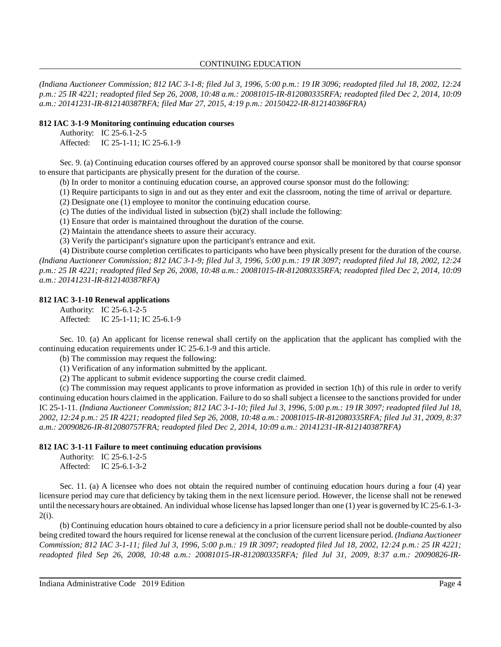*(Indiana Auctioneer Commission; 812 IAC 3-1-8; filed Jul 3, 1996, 5:00 p.m.: 19 IR 3096; readopted filed Jul 18, 2002, 12:24 p.m.: 25 IR 4221; readopted filed Sep 26, 2008, 10:48 a.m.: 20081015-IR-812080335RFA; readopted filed Dec 2, 2014, 10:09 a.m.: 20141231-IR-812140387RFA; filed Mar 27, 2015, 4:19 p.m.: 20150422-IR-812140386FRA)*

#### **812 IAC 3-1-9 Monitoring continuing education courses**

Authority: IC 25-6.1-2-5 Affected: IC 25-1-11; IC 25-6.1-9

Sec. 9. (a) Continuing education courses offered by an approved course sponsor shall be monitored by that course sponsor to ensure that participants are physically present for the duration of the course.

(b) In order to monitor a continuing education course, an approved course sponsor must do the following:

(1) Require participants to sign in and out as they enter and exit the classroom, noting the time of arrival or departure.

(2) Designate one (1) employee to monitor the continuing education course.

(c) The duties of the individual listed in subsection (b)(2) shall include the following:

(1) Ensure that order is maintained throughout the duration of the course.

(2) Maintain the attendance sheets to assure their accuracy.

(3) Verify the participant's signature upon the participant's entrance and exit.

(4) Distribute course completion certificates to participants who have been physically present for the duration of the course. *(Indiana Auctioneer Commission; 812 IAC 3-1-9; filed Jul 3, 1996, 5:00 p.m.: 19 IR 3097; readopted filed Jul 18, 2002, 12:24 p.m.: 25 IR 4221; readopted filed Sep 26, 2008, 10:48 a.m.: 20081015-IR-812080335RFA; readopted filed Dec 2, 2014, 10:09 a.m.: 20141231-IR-812140387RFA)*

#### **812 IAC 3-1-10 Renewal applications**

Authority: IC 25-6.1-2-5 Affected: IC 25-1-11; IC 25-6.1-9

Sec. 10. (a) An applicant for license renewal shall certify on the application that the applicant has complied with the continuing education requirements under IC 25-6.1-9 and this article.

(b) The commission may request the following:

(1) Verification of any information submitted by the applicant.

(2) The applicant to submit evidence supporting the course credit claimed.

(c) The commission may request applicants to prove information as provided in section 1(h) of this rule in order to verify continuing education hours claimed in the application. Failure to do so shall subject a licensee to the sanctions provided for under IC 25-1-11. *(Indiana Auctioneer Commission; 812 IAC 3-1-10; filed Jul 3, 1996, 5:00 p.m.: 19 IR 3097; readopted filed Jul 18,* 2002, 12:24 p.m.: 25 IR 4221; readopted filed Sep 26, 2008, 10:48 a.m.: 20081015-IR-812080335RFA; filed Jul 31, 2009, 8:37 *a.m.: 20090826-IR-812080757FRA; readopted filed Dec 2, 2014, 10:09 a.m.: 20141231-IR-812140387RFA)*

## **812 IAC 3-1-11 Failure to meet continuing education provisions**

|           | Authority: IC 25-6.1-2-5 |
|-----------|--------------------------|
| Affected: | IC $25-6.1-3-2$          |

Sec. 11. (a) A licensee who does not obtain the required number of continuing education hours during a four (4) year licensure period may cure that deficiency by taking them in the next licensure period. However, the license shall not be renewed until the necessaryhours are obtained. An individual whose license haslapsed longer than one (1) year is governed by IC 25-6.1-3-  $2(i)$ .

(b) Continuing education hours obtained to cure a deficiency in a prior licensure period shall not be double-counted by also being credited toward the hours required for license renewal at the conclusion of the current licensure period. *(Indiana Auctioneer* Commission; 812 IAC 3-1-11; filed Jul 3, 1996, 5:00 p.m.: 19 IR 3097; readopted filed Jul 18, 2002, 12:24 p.m.: 25 IR 4221; *readopted filed Sep 26, 2008, 10:48 a.m.: 20081015-IR-812080335RFA; filed Jul 31, 2009, 8:37 a.m.: 20090826-IR-*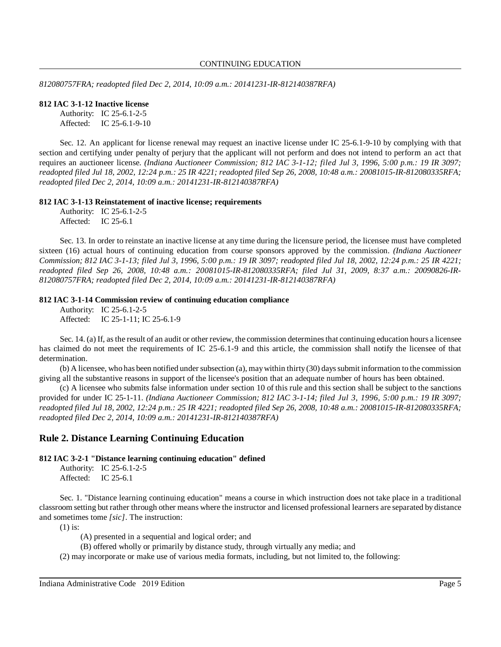*812080757FRA; readopted filed Dec 2, 2014, 10:09 a.m.: 20141231-IR-812140387RFA)*

#### **812 IAC 3-1-12 Inactive license**

Authority: IC 25-6.1-2-5 Affected: IC 25-6.1-9-10

Sec. 12. An applicant for license renewal may request an inactive license under IC 25-6.1-9-10 by complying with that section and certifying under penalty of perjury that the applicant will not perform and does not intend to perform an act that requires an auctioneer license. *(Indiana Auctioneer Commission; 812 IAC 3-1-12; filed Jul 3, 1996, 5:00 p.m.: 19 IR 3097; readopted filed Jul 18, 2002, 12:24 p.m.: 25 IR 4221; readopted filed Sep 26, 2008, 10:48 a.m.: 20081015-IR-812080335RFA; readopted filed Dec 2, 2014, 10:09 a.m.: 20141231-IR-812140387RFA)*

#### **812 IAC 3-1-13 Reinstatement of inactive license; requirements**

Authority: IC 25-6.1-2-5 Affected: IC 25-6.1

Sec. 13. In order to reinstate an inactive license at any time during the licensure period, the licensee must have completed sixteen (16) actual hours of continuing education from course sponsors approved by the commission. *(Indiana Auctioneer* Commission; 812 IAC 3-1-13; filed Jul 3, 1996, 5:00 p.m.: 19 IR 3097; readopted filed Jul 18, 2002, 12:24 p.m.: 25 IR 4221; *readopted filed Sep 26, 2008, 10:48 a.m.: 20081015-IR-812080335RFA; filed Jul 31, 2009, 8:37 a.m.: 20090826-IR-812080757FRA; readopted filed Dec 2, 2014, 10:09 a.m.: 20141231-IR-812140387RFA)*

#### **812 IAC 3-1-14 Commission review of continuing education compliance**

Authority: IC 25-6.1-2-5 Affected: IC 25-1-11; IC 25-6.1-9

Sec. 14. (a) If, asthe result of an audit or other review, the commission determinesthat continuing education hours a licensee has claimed do not meet the requirements of IC 25-6.1-9 and this article, the commission shall notify the licensee of that determination.

(b) A licensee, who has been notified under subsection (a), may within thirty (30) days submit information to the commission giving all the substantive reasons in support of the licensee's position that an adequate number of hours has been obtained.

(c) A licensee who submits false information under section 10 of this rule and this section shall be subject to the sanctions provided for under IC 25-1-11. *(Indiana Auctioneer Commission; 812 IAC 3-1-14; filed Jul 3, 1996, 5:00 p.m.: 19 IR 3097; readopted filed Jul 18, 2002, 12:24 p.m.: 25 IR 4221; readopted filed Sep 26, 2008, 10:48 a.m.: 20081015-IR-812080335RFA; readopted filed Dec 2, 2014, 10:09 a.m.: 20141231-IR-812140387RFA)*

## **Rule 2. Distance Learning Continuing Education**

**812 IAC 3-2-1 "Distance learning continuing education" defined**

Sec. 1. "Distance learning continuing education" means a course in which instruction does not take place in a traditional classroom setting but rather through other means where the instructor and licensed professional learners are separated by distance and sometimes tome *[sic]*. The instruction:

(1) is:

(A) presented in a sequential and logical order; and

(B) offered wholly or primarily by distance study, through virtually any media; and

(2) may incorporate or make use of various media formats, including, but not limited to, the following:

Authority: IC 25-6.1-2-5 Affected: IC 25-6.1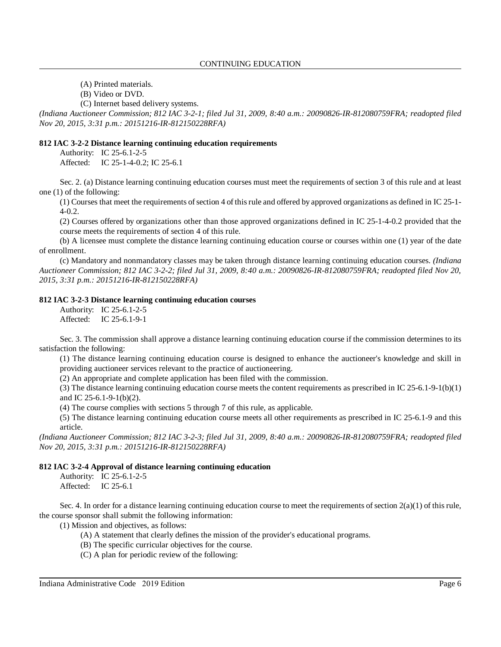(A) Printed materials.

(B) Video or DVD.

(C) Internet based delivery systems.

*(Indiana Auctioneer Commission; 812 IAC 3-2-1; filed Jul 31, 2009, 8:40 a.m.: 20090826-IR-812080759FRA; readopted filed Nov 20, 2015, 3:31 p.m.: 20151216-IR-812150228RFA)*

#### **812 IAC 3-2-2 Distance learning continuing education requirements**

Authority: IC 25-6.1-2-5 Affected: IC 25-1-4-0.2; IC 25-6.1

Sec. 2. (a) Distance learning continuing education courses must meet the requirements of section 3 of this rule and at least one (1) of the following:

(1) Courses that meet the requirements of section 4 of this rule and offered by approved organizations as defined in IC 25-1-4-0.2.

(2) Courses offered by organizations other than those approved organizations defined in IC 25-1-4-0.2 provided that the course meets the requirements of section 4 of this rule.

(b) A licensee must complete the distance learning continuing education course or courses within one (1) year of the date of enrollment.

(c) Mandatory and nonmandatory classes may be taken through distance learning continuing education courses. *(Indiana Auctioneer Commission; 812 IAC 3-2-2; filed Jul 31, 2009, 8:40 a.m.: 20090826-IR-812080759FRA; readopted filed Nov 20, 2015, 3:31 p.m.: 20151216-IR-812150228RFA)*

## **812 IAC 3-2-3 Distance learning continuing education courses**

Authority: IC 25-6.1-2-5 Affected: IC 25-6.1-9-1

Sec. 3. The commission shall approve a distance learning continuing education course if the commission determines to its satisfaction the following:

(1) The distance learning continuing education course is designed to enhance the auctioneer's knowledge and skill in providing auctioneer services relevant to the practice of auctioneering.

(2) An appropriate and complete application has been filed with the commission.

(3) The distance learning continuing education course meets the content requirements as prescribed in IC 25-6.1-9-1(b)(1) and IC 25-6.1-9-1(b)(2).

(4) The course complies with sections 5 through 7 of this rule, as applicable.

(5) The distance learning continuing education course meets all other requirements as prescribed in IC 25-6.1-9 and this article.

*(Indiana Auctioneer Commission; 812 IAC 3-2-3; filed Jul 31, 2009, 8:40 a.m.: 20090826-IR-812080759FRA; readopted filed Nov 20, 2015, 3:31 p.m.: 20151216-IR-812150228RFA)*

#### **812 IAC 3-2-4 Approval of distance learning continuing education**

Authority: IC 25-6.1-2-5 Affected: IC 25-6.1

Sec. 4. In order for a distance learning continuing education course to meet the requirements of section  $2(a)(1)$  of this rule, the course sponsor shall submit the following information:

(1) Mission and objectives, as follows:

- (A) A statement that clearly defines the mission of the provider's educational programs.
- (B) The specific curricular objectives for the course.
- (C) A plan for periodic review of the following: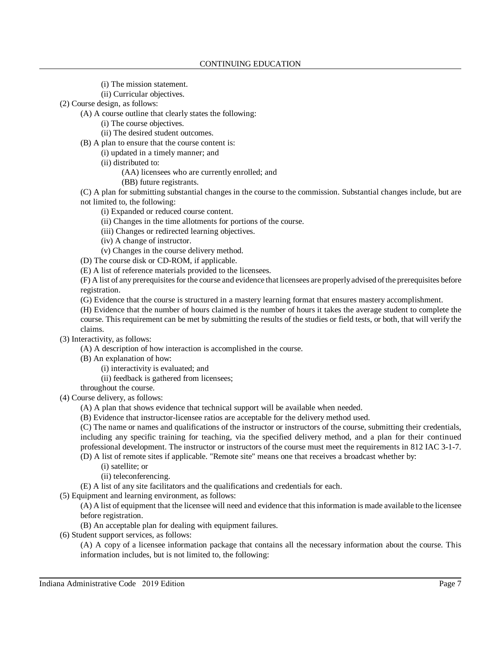- (i) The mission statement.
- (ii) Curricular objectives.
- (2) Course design, as follows:
	- (A) A course outline that clearly states the following:
		- (i) The course objectives.
		- (ii) The desired student outcomes.
	- (B) A plan to ensure that the course content is:
		- (i) updated in a timely manner; and
		- (ii) distributed to:
			- (AA) licensees who are currently enrolled; and
			- (BB) future registrants.

(C) A plan for submitting substantial changes in the course to the commission. Substantial changes include, but are not limited to, the following:

- (i) Expanded or reduced course content.
- (ii) Changes in the time allotments for portions of the course.
- (iii) Changes or redirected learning objectives.
- (iv) A change of instructor.
- (v) Changes in the course delivery method.
- (D) The course disk or CD-ROM, if applicable.
- (E) A list of reference materials provided to the licensees.

(F) A list of any prerequisitesfor the course and evidence that licensees are properlyadvised ofthe prerequisites before registration.

(G) Evidence that the course is structured in a mastery learning format that ensures mastery accomplishment.

(H) Evidence that the number of hours claimed is the number of hours it takes the average student to complete the course. This requirement can be met by submitting the results of the studies or field tests, or both, that will verify the claims.

- (3) Interactivity, as follows:
	- (A) A description of how interaction is accomplished in the course.
	- (B) An explanation of how:
		- (i) interactivity is evaluated; and
		- (ii) feedback is gathered from licensees;
	- throughout the course.
- (4) Course delivery, as follows:
	- (A) A plan that shows evidence that technical support will be available when needed.
	- (B) Evidence that instructor-licensee ratios are acceptable for the delivery method used.

(C) The name or names and qualifications of the instructor or instructors of the course, submitting their credentials, including any specific training for teaching, via the specified delivery method, and a plan for their continued professional development. The instructor or instructors of the course must meet the requirements in 812 IAC 3-1-7.

(D) A list of remote sites if applicable. "Remote site" means one that receives a broadcast whether by:

- (i) satellite; or
- (ii) teleconferencing.
- (E) A list of any site facilitators and the qualifications and credentials for each.
- (5) Equipment and learning environment, as follows:

(A) A list of equipment that the licensee will need and evidence that thisinformation is made available to the licensee before registration.

(B) An acceptable plan for dealing with equipment failures.

(6) Student support services, as follows:

(A) A copy of a licensee information package that contains all the necessary information about the course. This information includes, but is not limited to, the following: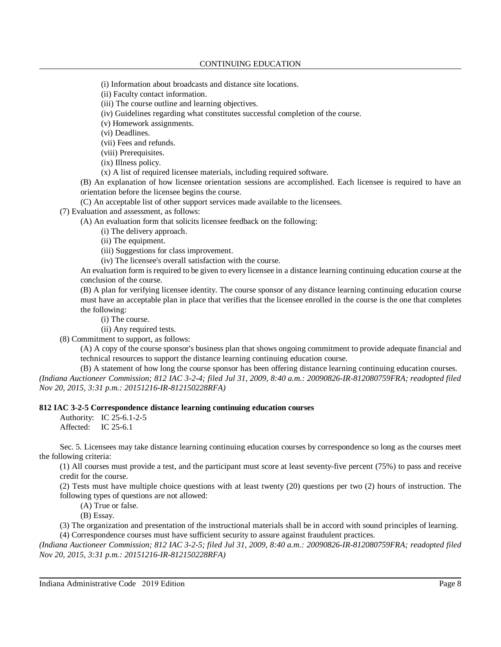(i) Information about broadcasts and distance site locations.

(ii) Faculty contact information.

(iii) The course outline and learning objectives.

(iv) Guidelines regarding what constitutes successful completion of the course.

(v) Homework assignments.

(vi) Deadlines.

(vii) Fees and refunds.

(viii) Prerequisites.

(ix) Illness policy.

(x) A list of required licensee materials, including required software.

(B) An explanation of how licensee orientation sessions are accomplished. Each licensee is required to have an orientation before the licensee begins the course.

(C) An acceptable list of other support services made available to the licensees.

(7) Evaluation and assessment, as follows:

(A) An evaluation form that solicits licensee feedback on the following:

(i) The delivery approach.

(ii) The equipment.

(iii) Suggestions for class improvement.

(iv) The licensee's overall satisfaction with the course.

An evaluation form is required to be given to every licensee in a distance learning continuing education course at the conclusion of the course.

(B) A plan for verifying licensee identity. The course sponsor of any distance learning continuing education course must have an acceptable plan in place that verifies that the licensee enrolled in the course is the one that completes the following:

(i) The course.

(ii) Any required tests.

(8) Commitment to support, as follows:

(A) A copy of the course sponsor's business plan that shows ongoing commitment to provide adequate financial and technical resources to support the distance learning continuing education course.

(B) A statement of how long the course sponsor has been offering distance learning continuing education courses.

*(Indiana Auctioneer Commission; 812 IAC 3-2-4; filed Jul 31, 2009, 8:40 a.m.: 20090826-IR-812080759FRA; readopted filed Nov 20, 2015, 3:31 p.m.: 20151216-IR-812150228RFA)*

## **812 IAC 3-2-5 Correspondence distance learning continuing education courses**

Authority: IC 25-6.1-2-5 Affected: IC 25-6.1

Sec. 5. Licensees may take distance learning continuing education courses by correspondence so long as the courses meet the following criteria:

(1) All courses must provide a test, and the participant must score at least seventy-five percent (75%) to pass and receive credit for the course.

(2) Tests must have multiple choice questions with at least twenty (20) questions per two (2) hours of instruction. The following types of questions are not allowed:

(A) True or false.

(B) Essay.

(3) The organization and presentation of the instructional materials shall be in accord with sound principles of learning.

(4) Correspondence courses must have sufficient security to assure against fraudulent practices.

*(Indiana Auctioneer Commission; 812 IAC 3-2-5; filed Jul 31, 2009, 8:40 a.m.: 20090826-IR-812080759FRA; readopted filed Nov 20, 2015, 3:31 p.m.: 20151216-IR-812150228RFA)*